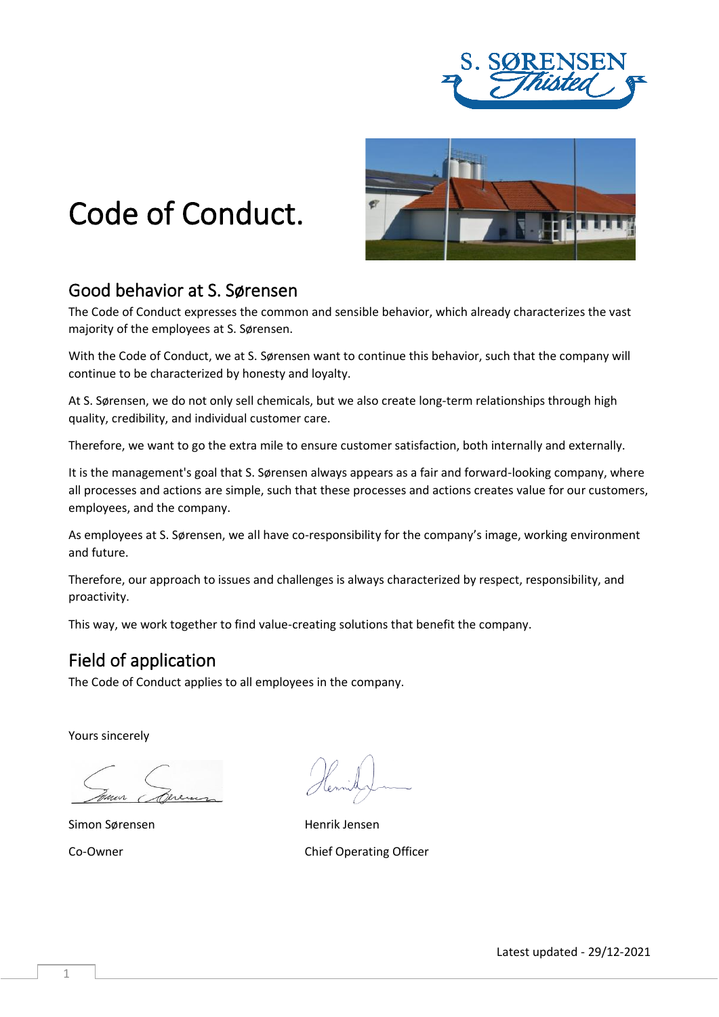

# Code of Conduct.



## Good behavior at S. Sørensen

The Code of Conduct expresses the common and sensible behavior, which already characterizes the vast majority of the employees at S. Sørensen.

With the Code of Conduct, we at S. Sørensen want to continue this behavior, such that the company will continue to be characterized by honesty and loyalty.

At S. Sørensen, we do not only sell chemicals, but we also create long-term relationships through high quality, credibility, and individual customer care.

Therefore, we want to go the extra mile to ensure customer satisfaction, both internally and externally.

It is the management's goal that S. Sørensen always appears as a fair and forward-looking company, where all processes and actions are simple, such that these processes and actions creates value for our customers, employees, and the company.

As employees at S. Sørensen, we all have co-responsibility for the company's image, working environment and future.

Therefore, our approach to issues and challenges is always characterized by respect, responsibility, and proactivity.

This way, we work together to find value-creating solutions that benefit the company.

#### Field of application

The Code of Conduct applies to all employees in the company.

Yours sincerely

Simon Sørensen Maria Henrik Jensen

Co-Owner Co-Owner Co-Owner Co-Owner Co-Owner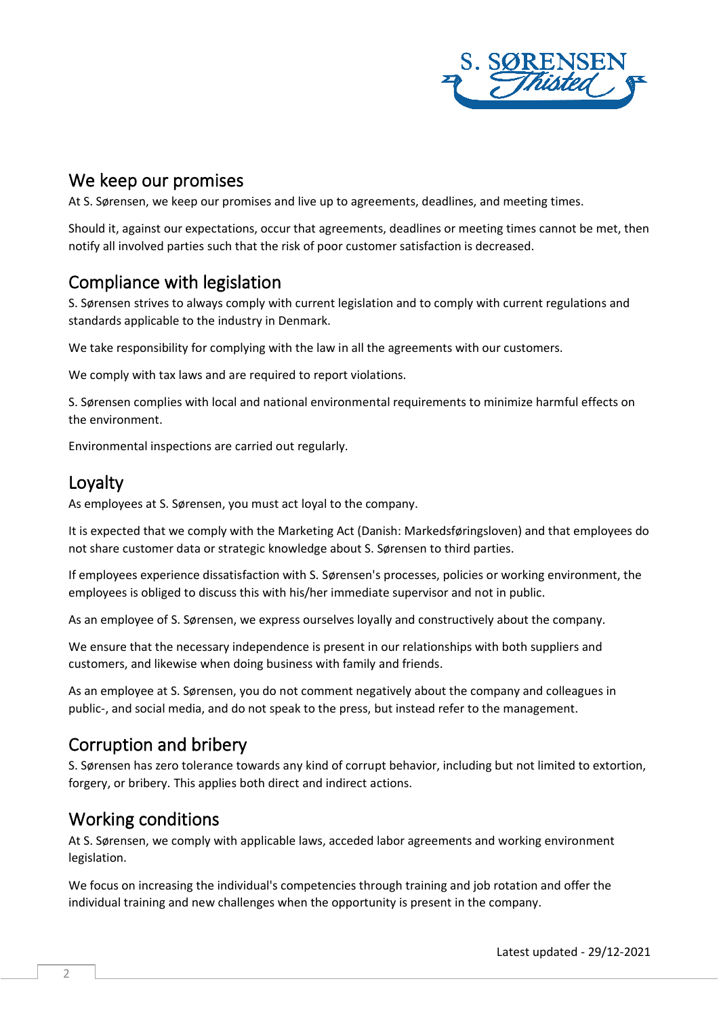

#### We keep our promises

At S. Sørensen, we keep our promises and live up to agreements, deadlines, and meeting times.

Should it, against our expectations, occur that agreements, deadlines or meeting times cannot be met, then notify all involved parties such that the risk of poor customer satisfaction is decreased.

## Compliance with legislation

S. Sørensen strives to always comply with current legislation and to comply with current regulations and standards applicable to the industry in Denmark.

We take responsibility for complying with the law in all the agreements with our customers.

We comply with tax laws and are required to report violations.

S. Sørensen complies with local and national environmental requirements to minimize harmful effects on the environment.

Environmental inspections are carried out regularly.

# Loyalty

As employees at S. Sørensen, you must act loyal to the company.

It is expected that we comply with the Marketing Act (Danish: Markedsføringsloven) and that employees do not share customer data or strategic knowledge about S. Sørensen to third parties.

If employees experience dissatisfaction with S. Sørensen's processes, policies or working environment, the employees is obliged to discuss this with his/her immediate supervisor and not in public.

As an employee of S. Sørensen, we express ourselves loyally and constructively about the company.

We ensure that the necessary independence is present in our relationships with both suppliers and customers, and likewise when doing business with family and friends.

As an employee at S. Sørensen, you do not comment negatively about the company and colleagues in public-, and social media, and do not speak to the press, but instead refer to the management.

### Corruption and bribery

S. Sørensen has zero tolerance towards any kind of corrupt behavior, including but not limited to extortion, forgery, or bribery. This applies both direct and indirect actions.

# Working conditions

At S. Sørensen, we comply with applicable laws, acceded labor agreements and working environment legislation.

We focus on increasing the individual's competencies through training and job rotation and offer the individual training and new challenges when the opportunity is present in the company.